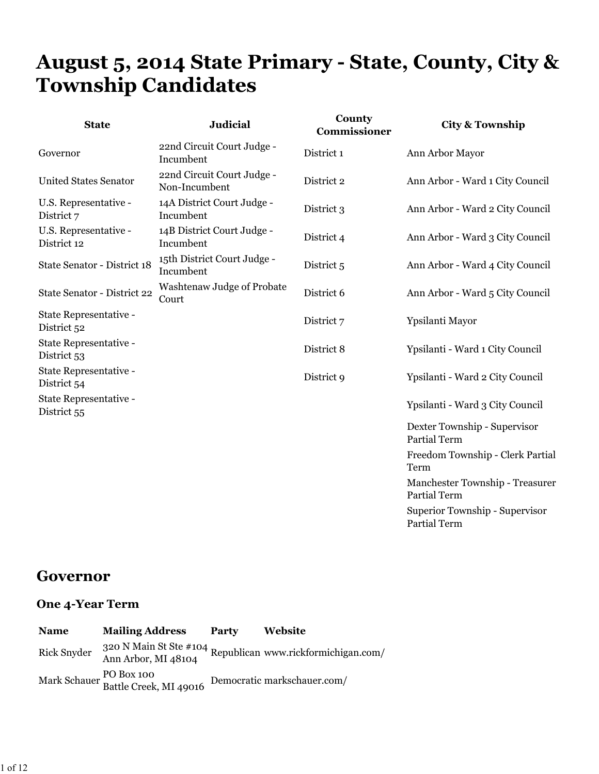# **August 5, 2014 State Primary - State, County, City & Township Candidates**

| <b>State</b>                          | <b>Judicial</b>                             | County<br>Commissioner | <b>City &amp; Township</b>                            |
|---------------------------------------|---------------------------------------------|------------------------|-------------------------------------------------------|
| Governor                              | 22nd Circuit Court Judge -<br>Incumbent     | District 1             | Ann Arbor Mayor                                       |
| <b>United States Senator</b>          | 22nd Circuit Court Judge -<br>Non-Incumbent | District 2             | Ann Arbor - Ward 1 City Council                       |
| U.S. Representative -<br>District 7   | 14A District Court Judge -<br>Incumbent     | District 3             | Ann Arbor - Ward 2 City Council                       |
| U.S. Representative -<br>District 12  | 14B District Court Judge -<br>Incumbent     | District 4             | Ann Arbor - Ward 3 City Council                       |
| State Senator - District 18           | 15th District Court Judge -<br>Incumbent    | District 5             | Ann Arbor - Ward 4 City Council                       |
| State Senator - District 22           | Washtenaw Judge of Probate<br>Court         | District 6             | Ann Arbor - Ward 5 City Council                       |
| State Representative -<br>District 52 |                                             | District 7             | Ypsilanti Mayor                                       |
| State Representative -<br>District 53 |                                             | District 8             | Ypsilanti - Ward 1 City Council                       |
| State Representative -<br>District 54 |                                             | District 9             | Ypsilanti - Ward 2 City Council                       |
| State Representative -<br>District 55 |                                             |                        | Ypsilanti - Ward 3 City Council                       |
|                                       |                                             |                        | Dexter Township - Supervisor<br>Partial Term          |
|                                       |                                             |                        | Freedom Township - Clerk Partial<br>Term              |
|                                       |                                             |                        | Manchester Township - Treasurer<br>Partial Term       |
|                                       |                                             |                        | $\mathbf{r}$ . The state is the state of $\mathbf{r}$ |

Superior Township - Supervisor Partial Term

### **Governor**

| <b>Name</b>        | <b>Mailing Address</b>                            | Party | Website                                                                              |
|--------------------|---------------------------------------------------|-------|--------------------------------------------------------------------------------------|
| <b>Rick Snyder</b> |                                                   |       | 320 N Main St Ste #104<br>Republican www.rickformichigan.com/<br>Ann Arbor, MI 48104 |
|                    | Mark Schauer PO Box 100<br>Battle Creek, MI 49016 |       | Democratic markschauer.com/                                                          |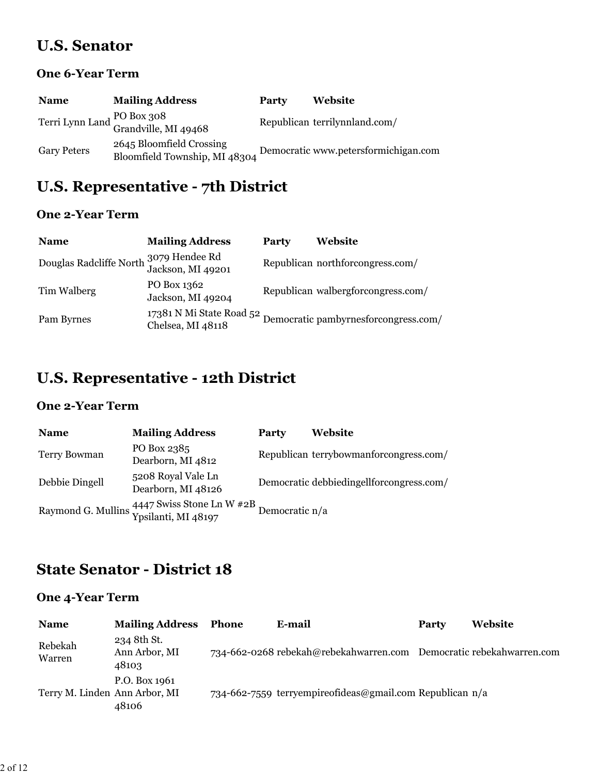### **U.S. Senator**

#### **One 6-Year Term**

| <b>Name</b>        | <b>Mailing Address</b>                                    | Party | Website                              |
|--------------------|-----------------------------------------------------------|-------|--------------------------------------|
|                    | Terri Lynn Land PO Box 308<br>Grandville, MI 49468        |       | Republican terrilynnland.com/        |
| <b>Gary Peters</b> | 2645 Bloomfield Crossing<br>Bloomfield Township, MI 48304 |       | Democratic www.petersformichigan.com |

## **U.S. Representative - 7th District**

### **One 2-Year Term**

| <b>Name</b>                                                 | <b>Mailing Address</b>           | Party | Website                                                                |
|-------------------------------------------------------------|----------------------------------|-------|------------------------------------------------------------------------|
| Douglas Radcliffe North 3079 Hendee Rd<br>Jackson, MI 49201 |                                  |       | Republican northforcongress.com/                                       |
| Tim Walberg                                                 | PO Box 1362<br>Jackson, MI 49204 |       | Republican walbergforcongress.com/                                     |
| Pam Byrnes                                                  | Chelsea, MI 48118                |       | 17381 N Mi State Road 52 Democratic pambyrnes<br>forcongress.com/ $\,$ |

## **U.S. Representative - 12th District**

### **One 2-Year Term**

| <b>Name</b>         | <b>Mailing Address</b>                                                                 | <b>Party</b> | Website                                    |
|---------------------|----------------------------------------------------------------------------------------|--------------|--------------------------------------------|
| <b>Terry Bowman</b> | PO Box 2385<br>Dearborn, MI 4812                                                       |              | Republican terrybowmanforcongress.com/     |
| Debbie Dingell      | 5208 Royal Vale Ln<br>Dearborn, MI 48126                                               |              | Democratic debbieding ell forcongress.com/ |
|                     | Raymond G. Mullins 4447 Swiss Stone L<br>n W $\#2B$ Democratic n/a Ypsilanti, MI 48197 |              |                                            |

## **State Senator - District 18**

| <b>Name</b>                   | <b>Mailing Address</b>                | Phone | E-mail                                                              | Party | Website |
|-------------------------------|---------------------------------------|-------|---------------------------------------------------------------------|-------|---------|
| Rebekah<br>Warren             | 234 8th St.<br>Ann Arbor, MI<br>48103 |       | 734-662-0268 rebekah@rebekahwarren.com Democratic rebekahwarren.com |       |         |
| Terry M. Linden Ann Arbor, MI | P.O. Box 1961<br>48106                |       | 734-662-7559 terryempireofideas@gmail.com Republican $n/a$          |       |         |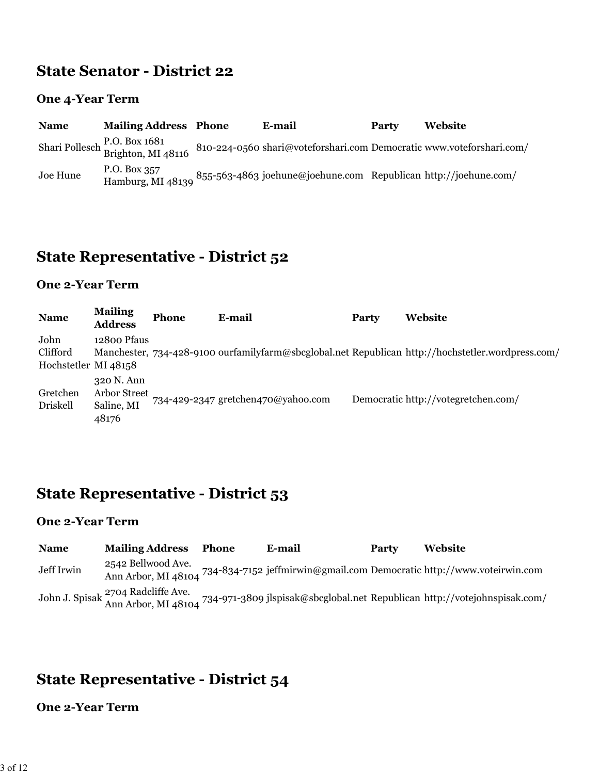### **State Senator - District 22**

### **One 4-Year Term**

| <b>Name</b> | <b>Mailing Address Phone</b>                       | E-mail                                                               | Party | Website |
|-------------|----------------------------------------------------|----------------------------------------------------------------------|-------|---------|
|             | Shari Pollesch P.O. Box 1681<br>Brighton, MI 48116 | 810-224-0560 shari@voteforshari.com Democratic www.voteforshari.com/ |       |         |
| Joe Hune    | P.O. Box 357<br>Hamburg, MI 48139                  | 855-563-4863 joehune@joehune.com Republican http://joehune.com/      |       |         |

## **State Representative - District 52**

### **One 2-Year Term**

| <b>Name</b>                              | <b>Mailing</b><br><b>Address</b>                  | <b>Phone</b> | E-mail                             | Party | Website                                                                                           |
|------------------------------------------|---------------------------------------------------|--------------|------------------------------------|-------|---------------------------------------------------------------------------------------------------|
| John<br>Clifford<br>Hochstetler MI 48158 | 12800 Pfaus                                       |              |                                    |       | Manchester, 734-428-9100 ourfamilyfarm@sbcglobal.net Republican http://hochstetler.wordpress.com/ |
| Gretchen<br>Driskell                     | 320 N. Ann<br>Arbor Street<br>Saline, MI<br>48176 |              | 734-429-2347 gretchen470@yahoo.com |       | Democratic http://votegretchen.com/                                                               |

## **State Representative - District 53**

#### **One 2-Year Term**

| <b>Name</b> | <b>Mailing Address</b> | Phone | E-mail | Party | Website                                                                                                                                                   |
|-------------|------------------------|-------|--------|-------|-----------------------------------------------------------------------------------------------------------------------------------------------------------|
| Jeff Irwin  | 2542 Bellwood Ave.     |       |        |       | Ann Arbor, MI 48104 734-834-7152 jeffmirwin@gmail.com Democratic http://www.voteirwin.com                                                                 |
|             |                        |       |        |       | John J. Spisak <sup>2704</sup> Radcliffe Ave.<br>Ann Arbor, MI 48104 <sup>734-971-3809</sup> jlspisak@sbcglobal.net Republican http://votejohnspisak.com/ |

## **State Representative - District 54**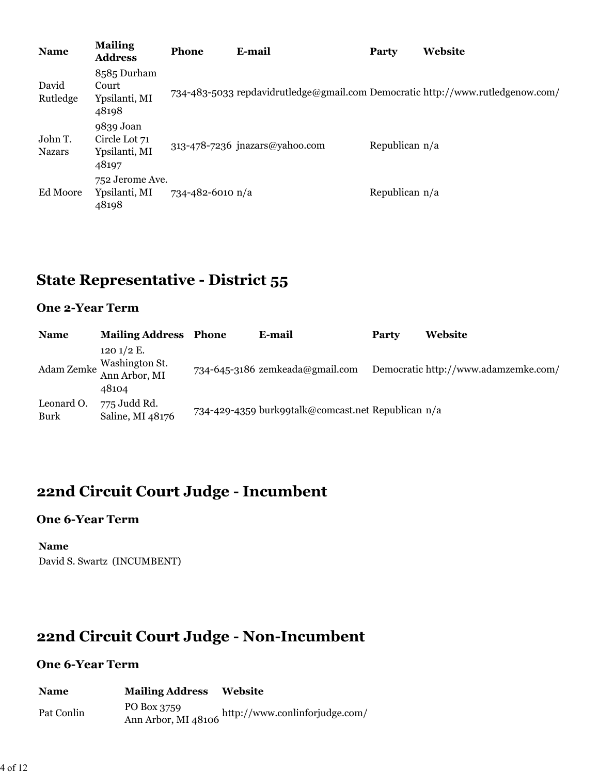| <b>Name</b>              | <b>Mailing</b><br><b>Address</b>                     | <b>Phone</b>     | E-mail                         | <b>Party</b>     | Website                                                                        |
|--------------------------|------------------------------------------------------|------------------|--------------------------------|------------------|--------------------------------------------------------------------------------|
| David<br>Rutledge        | 8585 Durham<br>Court<br>Ypsilanti, MI<br>48198       |                  |                                |                  | 734-483-5033 repdavidrutledge@gmail.com Democratic http://www.rutledgenow.com/ |
| John T.<br><b>Nazars</b> | 9839 Joan<br>Circle Lot 71<br>Ypsilanti, MI<br>48197 |                  | 313-478-7236 jnazars@yahoo.com | Republican n/a   |                                                                                |
| Ed Moore                 | 752 Jerome Ave.<br>Ypsilanti, MI<br>48198            | 734-482-6010 n/a |                                | Republican $n/a$ |                                                                                |

# **State Representative - District 55**

### **One 2-Year Term**

| <b>Name</b>        | <b>Mailing Address Phone</b>                                        | E-mail                                             | Party | Website                              |
|--------------------|---------------------------------------------------------------------|----------------------------------------------------|-------|--------------------------------------|
|                    | 120 $1/2$ E.<br>Washington St.<br>Adam Zemke Ann Arbor, MI<br>48104 | 734-645-3186 zemkeada@gmail.com                    |       | Democratic http://www.adamzemke.com/ |
| Leonard O.<br>Burk | 775 Judd Rd.<br>Saline, MI 48176                                    | 734-429-4359 burk99talk@comcast.net Republican n/a |       |                                      |

## **22nd Circuit Court Judge - Incumbent**

#### **One 6-Year Term**

**Name** David S. Swartz (INCUMBENT)

## **22nd Circuit Court Judge - Non-Incumbent**

| <b>Name</b> | <b>Mailing Address</b>             | Website                        |
|-------------|------------------------------------|--------------------------------|
| Pat Conlin  | PO Box 3759<br>Ann Arbor, MI 48106 | http://www.conlinforjudge.com/ |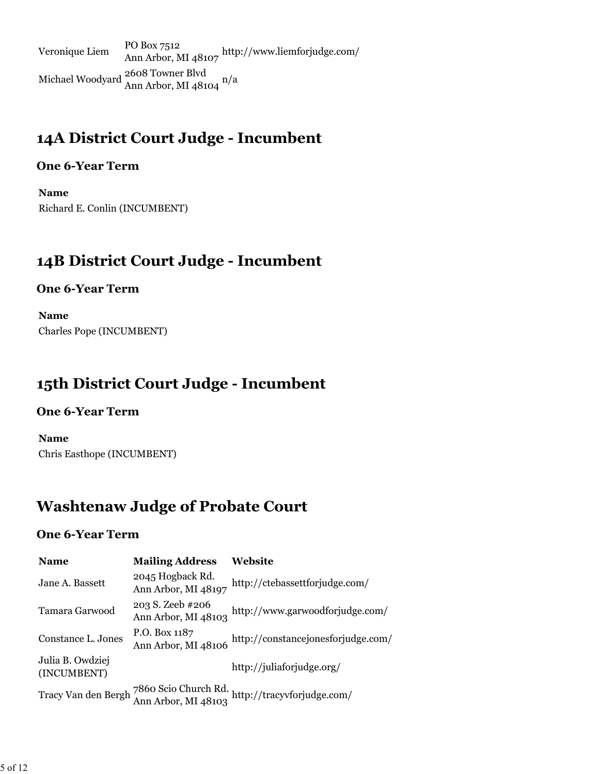Veronique Liem PO Box 7512 Ann Arbor, MI 48107 http://www.liemforjudge.com/ Michael Woodyard 2608 Towner Blvd Ann Arbor, MI 48104 n/a

## **14A District Court Judge - Incumbent**

### **One 6-Year Term**

**Name** Richard E. Conlin (INCUMBENT)

## **14B District Court Judge - Incumbent**

### **One 6-Year Term**

**Name** Charles Pope (INCUMBENT)

## **15th District Court Judge - Incumbent**

### **One 6-Year Term**

**Name** Chris Easthope (INCUMBENT)

## **Washtenaw Judge of Probate Court**

| <b>Name</b>                     | <b>Mailing Address</b>                  | Website                                                                                                            |
|---------------------------------|-----------------------------------------|--------------------------------------------------------------------------------------------------------------------|
| Jane A. Bassett                 | 2045 Hogback Rd.<br>Ann Arbor, MI 48197 | http://ctebassettforjudge.com/                                                                                     |
| Tamara Garwood                  | 203 S. Zeeb #206<br>Ann Arbor, MI 48103 | http://www.garwoodforjudge.com/                                                                                    |
| Constance L. Jones              | P.O. Box 1187<br>Ann Arbor, MI 48106    | http://constancejonesforjudge.com/                                                                                 |
| Julia B. Owdziej<br>(INCUMBENT) |                                         | http://juliaforjudge.org/                                                                                          |
|                                 |                                         | ${\rm Tracy\,Van\,den\,Bergh\,}^{7860\,Scio\,Church\,Rd.}_{\rm Ann\,Arbor,\,MI\,48103}$ http://tracyvforjudge.com/ |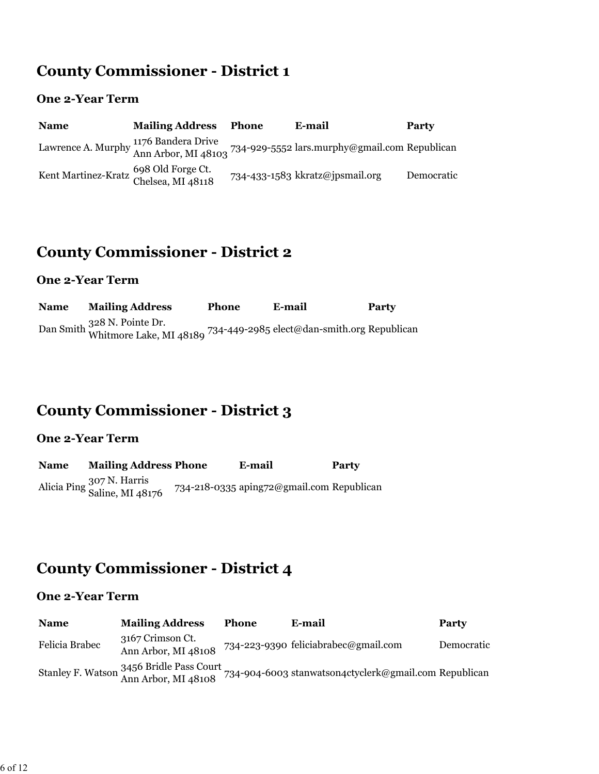## **County Commissioner - District 1**

### **One 2-Year Term**

| <b>Name</b>                                                | <b>Mailing Address</b> | Phone | E-mail                                                                                                                                   | <b>Party</b> |
|------------------------------------------------------------|------------------------|-------|------------------------------------------------------------------------------------------------------------------------------------------|--------------|
|                                                            |                        |       | Lawrence A. Murphy $\frac{1176 \text{ Bandera Drive}}{\text{Ann Arbor}, \text{MI } 48103}$ 734-929-5552 lars.murphy@gmail.com Republican |              |
| Kent Martinez-Kratz 698 Old Forge Ct.<br>Chelsea, MI 48118 |                        |       | 734-433-1583 kkratz@jpsmail.org                                                                                                          | Democratic   |

## **County Commissioner - District 2**

### **One 2-Year Term**

| <b>Name</b> | <b>Mailing Address</b>                                                                             | <b>Phone</b> | E-mail | Party |
|-------------|----------------------------------------------------------------------------------------------------|--------------|--------|-------|
|             | Dan Smith 328 N. Pointe Dr.<br>Whitmore Lake, MI 48189 734-449-2985 elect@dan-smith.org Republican |              |        |       |

## **County Commissioner - District 3**

### **One 2-Year Term**

| <b>Name</b> | <b>Mailing Address Phone</b>                  | E-mail                                    | Party |
|-------------|-----------------------------------------------|-------------------------------------------|-------|
|             | Alicia Ping 307 N. Harris<br>Saline, MI 48176 | 734-218-0335 aping72@gmail.com Republican |       |

## **County Commissioner - District 4**

| <b>Name</b>    | <b>Mailing Address</b>                                          | <b>Phone</b> | E-mail                                                | Party      |
|----------------|-----------------------------------------------------------------|--------------|-------------------------------------------------------|------------|
| Felicia Brabec | 3167 Crimson Ct.<br>Ann Arbor, MI 48108                         |              | 734-223-9390 feliciabrabec@gmail.com                  | Democratic |
|                | Stanley F. Watson 3456 Bridle Pass Court<br>Ann Arbor, MI 48108 |              | 734-904-6003 stanwatson4ctyclerk@gmail.com Republican |            |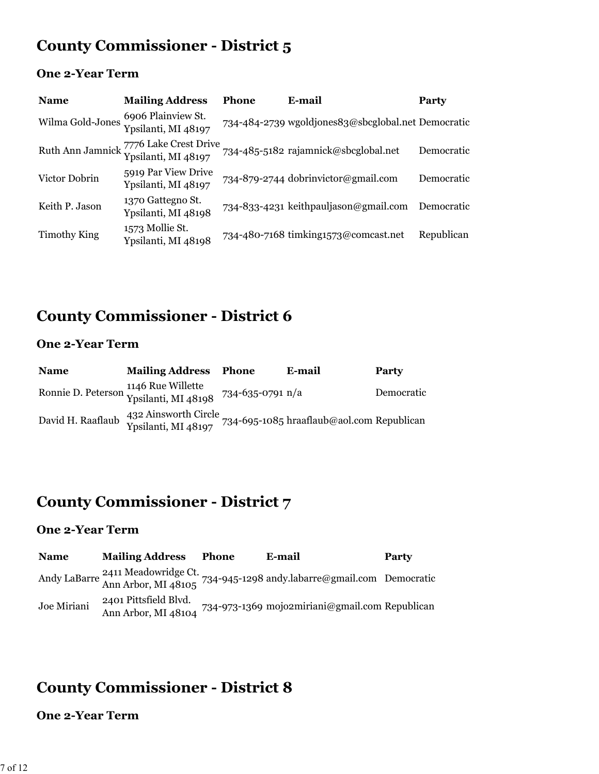## **County Commissioner - District 5**

### **One 2-Year Term**

| <b>Name</b>      | <b>Mailing Address</b>                                        | <b>Phone</b> | E-mail                                             | Party      |
|------------------|---------------------------------------------------------------|--------------|----------------------------------------------------|------------|
| Wilma Gold-Jones | 6906 Plainview St.<br>Ypsilanti, MI 48197                     |              | 734-484-2739 wgoldjones83@sbcglobal.net Democratic |            |
|                  | Ruth Ann Jamnick 7776 Lake Crest Drive<br>Ypsilanti, MI 48197 |              | 734-485-5182 rajamnick@sbcglobal.net               | Democratic |
| Victor Dobrin    | 5919 Par View Drive<br>Ypsilanti, MI 48197                    |              | 734-879-2744 dobrinvictor@gmail.com                | Democratic |
| Keith P. Jason   | 1370 Gattegno St.<br>Ypsilanti, MI 48198                      |              | 734-833-4231 keithpauljason@gmail.com Democratic   |            |
| Timothy King     | 1573 Mollie St.<br>Ypsilanti, MI 48198                        |              | 734-480-7168 timking1573@comcast.net               | Republican |

## **County Commissioner - District 6**

### **One 2-Year Term**

| <b>Name</b>       | <b>Mailing Address</b>                                                       | Phone | E-mail                                    | Party      |
|-------------------|------------------------------------------------------------------------------|-------|-------------------------------------------|------------|
|                   | Ronnie D. Peterson 1146 Rue Willette<br>Ypsilanti, MI 48198 734-635-0791 n/a |       |                                           | Democratic |
| David H. Raaflaub | 432 Ainsworth Circle<br>Ypsilanti, MI 48197                                  |       | 734-695-1085 hraaflaub@aol.com Republican |            |

## **County Commissioner - District 7**

### **One 2-Year Term**

| <b>Name</b> | <b>Mailing Address</b>                       | Phone | E-mail                                                                                                                        | Party |
|-------------|----------------------------------------------|-------|-------------------------------------------------------------------------------------------------------------------------------|-------|
|             |                                              |       | Andy LaBarre <sup>2411</sup> Meadowridge Ct.<br>Ann Arbor, MI 48105 <sup>734-945-1298</sup> andy labarre@gmail.com Democratic |       |
| Joe Miriani | 2401 Pittsfield Blvd.<br>Ann Arbor, MI 48104 |       | 734-973-1369 mojo2miriani@gmail.com Republican                                                                                |       |

## **County Commissioner - District 8**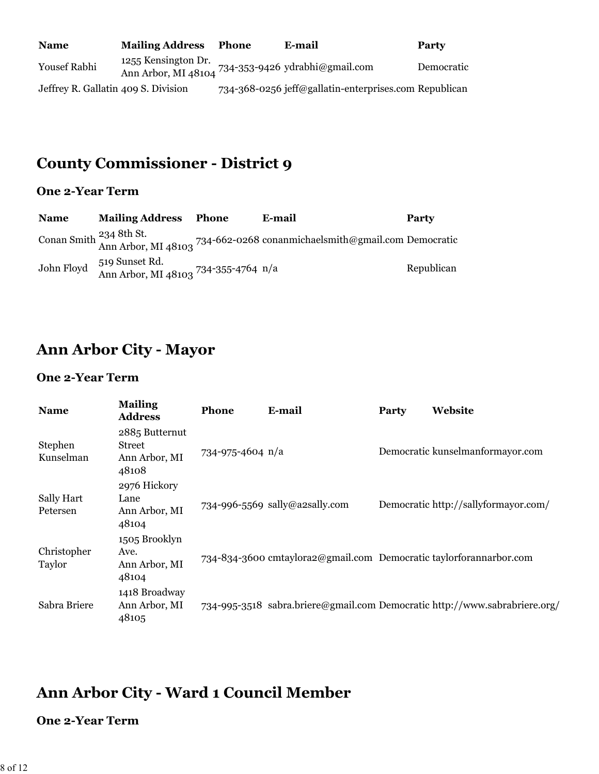| <b>Name</b>                         | <b>Mailing Address</b> | Phone | E-mail                                                | Party      |
|-------------------------------------|------------------------|-------|-------------------------------------------------------|------------|
| <b>Yousef Rabhi</b>                 | 1255 Kensington Dr.    |       | Ann Arbor, MI 48104 734-353-9426 ydrabhi@gmail.com    | Democratic |
| Jeffrey R. Gallatin 409 S. Division |                        |       | 734-368-0256 jeff@gallatin-enterprises.com Republican |            |

# **County Commissioner - District 9**

### **One 2-Year Term**

| <b>Name</b> | <b>Mailing Address Phone</b>                                      | E-mail                                                                                                                   | <b>Party</b> |
|-------------|-------------------------------------------------------------------|--------------------------------------------------------------------------------------------------------------------------|--------------|
|             |                                                                   | Conan Smith <sup>234</sup> 8th St.<br>Ann Arbor, MI 48103 <sup>734-662-0268</sup> conanmichaelsmith@gmail.com Democratic |              |
|             | John Floyd 519 Sunset Rd.<br>Ann Arbor, MI 48103 734-355-4764 n/a |                                                                                                                          | Republican   |

## **Ann Arbor City - Mayor**

### **One 2-Year Term**

| <b>Name</b>            | <b>Mailing</b><br><b>Address</b>                   | <b>Phone</b>     | E-mail                                                             | <b>Party</b> | Website                                                                    |
|------------------------|----------------------------------------------------|------------------|--------------------------------------------------------------------|--------------|----------------------------------------------------------------------------|
| Stephen<br>Kunselman   | 2885 Butternut<br>Street<br>Ann Arbor, MI<br>48108 | 734-975-4604 n/a |                                                                    |              | Democratic kunselmanformayor.com                                           |
| Sally Hart<br>Petersen | 2976 Hickory<br>Lane<br>Ann Arbor, MI<br>48104     |                  | 734-996-5569 sally@a2sally.com                                     |              | Democratic http://sallyformayor.com/                                       |
| Christopher<br>Taylor  | 1505 Brooklyn<br>Ave.<br>Ann Arbor, MI<br>48104    |                  | 734-834-3600 cmtaylora2@gmail.com Democratic taylorforannarbor.com |              |                                                                            |
| Sabra Briere           | 1418 Broadway<br>Ann Arbor, MI<br>48105            |                  |                                                                    |              | 734-995-3518 sabra.briere@gmail.com Democratic http://www.sabrabriere.org/ |

## **Ann Arbor City - Ward 1 Council Member**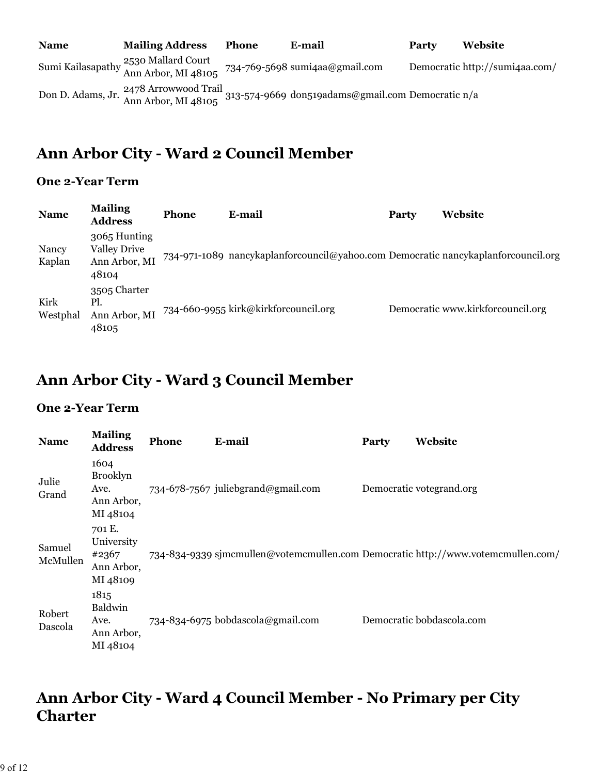| <b>Name</b> | <b>Mailing Address</b>                                      | <b>Phone</b> | E-mail                                                                                                             | Party | <b>Website</b>                 |
|-------------|-------------------------------------------------------------|--------------|--------------------------------------------------------------------------------------------------------------------|-------|--------------------------------|
|             | Sumi Kailasapathy 2530 Mallard Court<br>Ann Arbor, MI 48105 |              | 734-769-5698 sumi4aa@gmail.com                                                                                     |       | Democratic http://sumi4aa.com/ |
|             |                                                             |              | Don D. Adams, Jr. 2478 Arrowwood Trail<br>313-574-9669 don519adams@gmail.com Democratic n/a<br>Ann Arbor, MI 48105 |       |                                |

## **Ann Arbor City - Ward 2 Council Member**

### **One 2-Year Term**

| <b>Name</b>      | <b>Mailing</b><br><b>Address</b>                              | <b>Phone</b> | E-mail                                                                            | <b>Party</b> | Website                           |
|------------------|---------------------------------------------------------------|--------------|-----------------------------------------------------------------------------------|--------------|-----------------------------------|
| Nancy<br>Kaplan  | 3065 Hunting<br><b>Valley Drive</b><br>Ann Arbor, MI<br>48104 |              | 734-971-1089 nancykaplanforcouncil@yahoo.com Democratic nancykaplanforcouncil.org |              |                                   |
| Kirk<br>Westphal | 3505 Charter<br>Pl.<br>Ann Arbor, MI<br>48105                 |              | 734-660-9955 kirk@kirkforcouncil.org                                              |              | Democratic www.kirkforcouncil.org |

## **Ann Arbor City - Ward 3 Council Member**

### **One 2-Year Term**

| <b>Name</b>        | <b>Mailing</b><br><b>Address</b>                          | <b>Phone</b> | E-mail                                                                           | Party | Website                   |
|--------------------|-----------------------------------------------------------|--------------|----------------------------------------------------------------------------------|-------|---------------------------|
| Julie<br>Grand     | 1604<br><b>Brooklyn</b><br>Ave.<br>Ann Arbor,<br>MI 48104 |              | 734-678-7567 juliebgrand@gmail.com                                               |       | Democratic votegrand.org  |
| Samuel<br>McMullen | 701 E.<br>University<br>#2367<br>Ann Arbor,<br>MI 48109   |              | 734-834-9339 sjmcmullen@votemcmullen.com Democratic http://www.votemcmullen.com/ |       |                           |
| Robert<br>Dascola  | 1815<br>Baldwin<br>Ave.<br>Ann Arbor,<br>MI 48104         |              | 734-834-6975 bobdascola@gmail.com                                                |       | Democratic bobdascola.com |

## **Ann Arbor City - Ward 4 Council Member - No Primary per City Charter**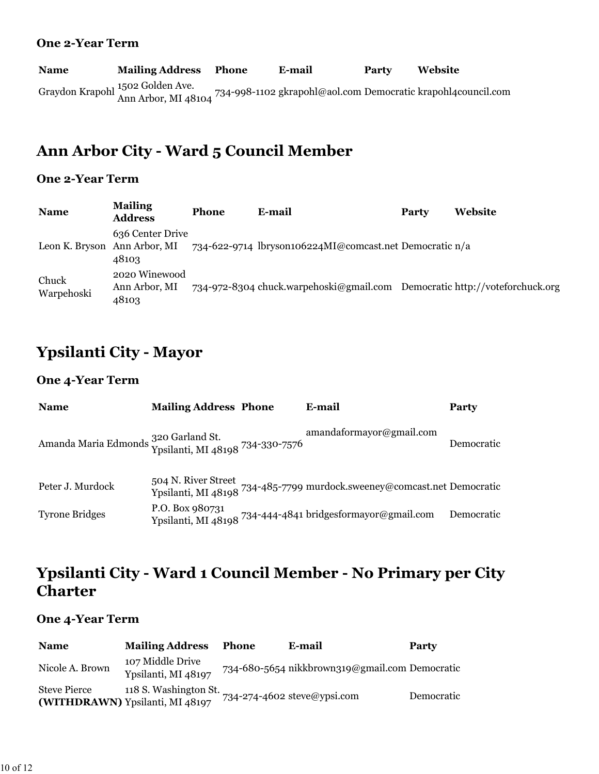#### **One 2-Year Term**

**Name Mailing Address Phone E-mail Party Website** Graydon Krapohl <sup>1502</sup> Golden Ave.<br>Ann Arbor, MI 48104 <sup>734-998-1102</sup> gkrapohl@aol.com Democratic krapohl4council.com

## **Ann Arbor City - Ward 5 Council Member**

#### **One 2-Year Term**

| <b>Name</b>                  | <b>Mailing</b><br><b>Address</b>        | <b>Phone</b> | E-mail                                                                     | Party | <b>Website</b> |
|------------------------------|-----------------------------------------|--------------|----------------------------------------------------------------------------|-------|----------------|
| Leon K. Bryson Ann Arbor, MI | 636 Center Drive<br>48103               |              | 734-622-9714 lbryson106224MI@comcast.net Democratic n/a                    |       |                |
| Chuck<br>Warpehoski          | 2020 Winewood<br>Ann Arbor, MI<br>48103 |              | 734-972-8304 chuck.warpehoski@gmail.com Democratic http://voteforchuck.org |       |                |

## **Ypsilanti City - Mayor**

#### **One 4-Year Term**

| <b>Name</b>                                                              | <b>Mailing Address Phone</b> | E-mail                                                                                                    | Party      |
|--------------------------------------------------------------------------|------------------------------|-----------------------------------------------------------------------------------------------------------|------------|
| Amanda Maria Edmonds 320 Garland St.<br>Ypsilanti, MI 48198 734-330-7576 |                              | amandaformayor@gmail.com                                                                                  | Democratic |
| Peter J. Murdock                                                         |                              | 504 N. River Street<br>Ypsilanti, MI 48198 <sup>734-485-7799</sup> murdock.sweeney@comcast.net Democratic |            |
| <b>Tyrone Bridges</b>                                                    | P.O. Box 980731              | Ypsilanti, MI 48198 734-444-4841 bridgesformayor@gmail.com                                                | Democratic |

## **Ypsilanti City - Ward 1 Council Member - No Primary per City Charter**

| <b>Name</b>         | <b>Mailing Address</b>                                   | <b>Phone</b> | E-mail                                         | <b>Party</b> |
|---------------------|----------------------------------------------------------|--------------|------------------------------------------------|--------------|
| Nicole A. Brown     | 107 Middle Drive<br>Ypsilanti, MI 48197                  |              | 734-680-5654 nikkbrown319@gmail.com Democratic |              |
| <b>Steve Pierce</b> | 118 S. Washington St.<br>(WITHDRAWN) Ypsilanti, MI 48197 |              | 734-274-4602 steve@ypsi.com                    | Democratic   |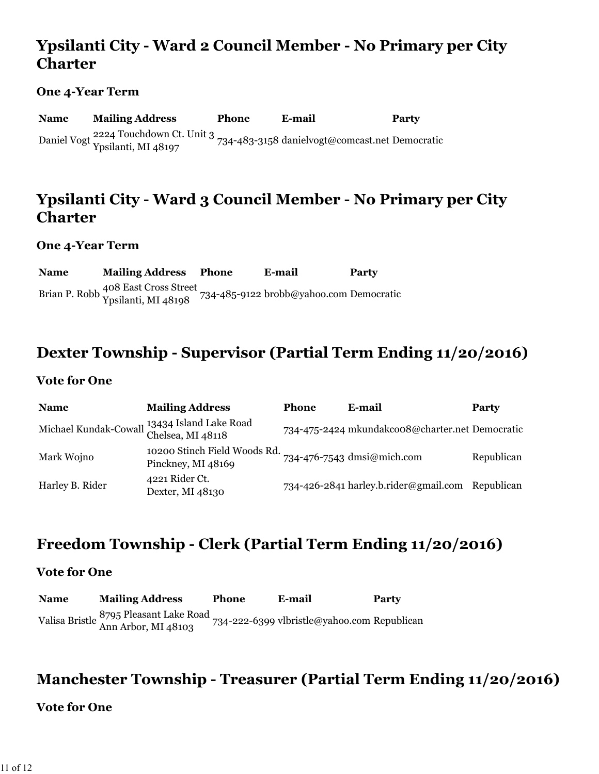## **Ypsilanti City - Ward 2 Council Member - No Primary per City Charter**

#### **One 4-Year Term**

**Name Mailing Address Phone E-mail Party** Daniel Vogt 2224 Touchdown Ct. Unit 3 Ypsilanti, MI 48197 734-483-3158 danielvogt@comcast.net Democratic

### **Ypsilanti City - Ward 3 Council Member - No Primary per City Charter**

**One 4-Year Term**

**Name Mailing Address Phone E-mail Party** Brian P. Robb 408 East Cross Street Ypsilanti, MI 48198 734-485-9122 brobb@yahoo.com Democratic

### **Dexter Township - Supervisor (Partial Term Ending 11/20/2016)**

#### **Vote for One**

| <b>Name</b>     | <b>Mailing Address</b>                                            | Phone | E-mail                                           | Party      |
|-----------------|-------------------------------------------------------------------|-------|--------------------------------------------------|------------|
|                 | Michael Kundak-Cowall 13434 Island Lake Road<br>Chelsea, MI 48118 |       | 734-475-2424 mkundakcoo8@charter.net Democratic  |            |
| Mark Wojno      | 10200 Stinch Field Woods Rd.<br>Pinckney, MI 48169                |       | 734-476-7543 dmsi@mich.com                       | Republican |
| Harley B. Rider | 4221 Rider Ct.<br>Dexter, MI 48130                                |       | 734-426-2841 harley.b.rider@gmail.com Republican |            |

## **Freedom Township - Clerk (Partial Term Ending 11/20/2016)**

#### **Vote for One**

**Name Mailing Address Phone E-mail Party** Valisa Bristle 8795 Pleasant Lake Road Ann Arbor, MI 48103 734-222-6399 vlbristle@yahoo.com Republican

### **Manchester Township - Treasurer (Partial Term Ending 11/20/2016)**

#### **Vote for One**